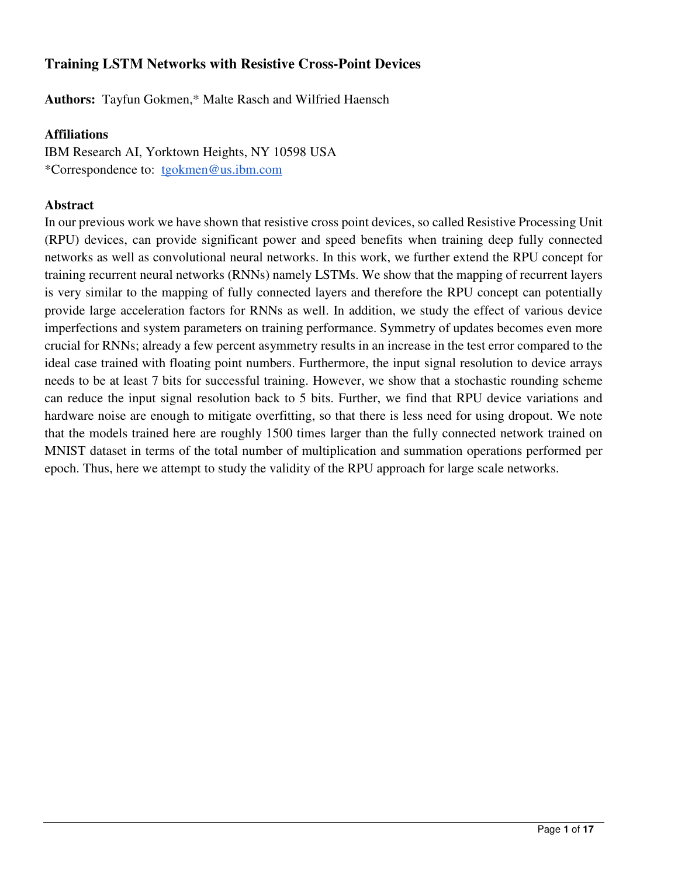# **Training LSTM Networks with Resistive Cross-Point Devices**

**Authors:** Tayfun Gokmen,\* Malte Rasch and Wilfried Haensch

## **Affiliations**

IBM Research AI, Yorktown Heights, NY 10598 USA \*Correspondence to: tgokmen@us.ibm.com

## **Abstract**

In our previous work we have shown that resistive cross point devices, so called Resistive Processing Unit (RPU) devices, can provide significant power and speed benefits when training deep fully connected networks as well as convolutional neural networks. In this work, we further extend the RPU concept for training recurrent neural networks (RNNs) namely LSTMs. We show that the mapping of recurrent layers is very similar to the mapping of fully connected layers and therefore the RPU concept can potentially provide large acceleration factors for RNNs as well. In addition, we study the effect of various device imperfections and system parameters on training performance. Symmetry of updates becomes even more crucial for RNNs; already a few percent asymmetry results in an increase in the test error compared to the ideal case trained with floating point numbers. Furthermore, the input signal resolution to device arrays needs to be at least 7 bits for successful training. However, we show that a stochastic rounding scheme can reduce the input signal resolution back to 5 bits. Further, we find that RPU device variations and hardware noise are enough to mitigate overfitting, so that there is less need for using dropout. We note that the models trained here are roughly 1500 times larger than the fully connected network trained on MNIST dataset in terms of the total number of multiplication and summation operations performed per epoch. Thus, here we attempt to study the validity of the RPU approach for large scale networks.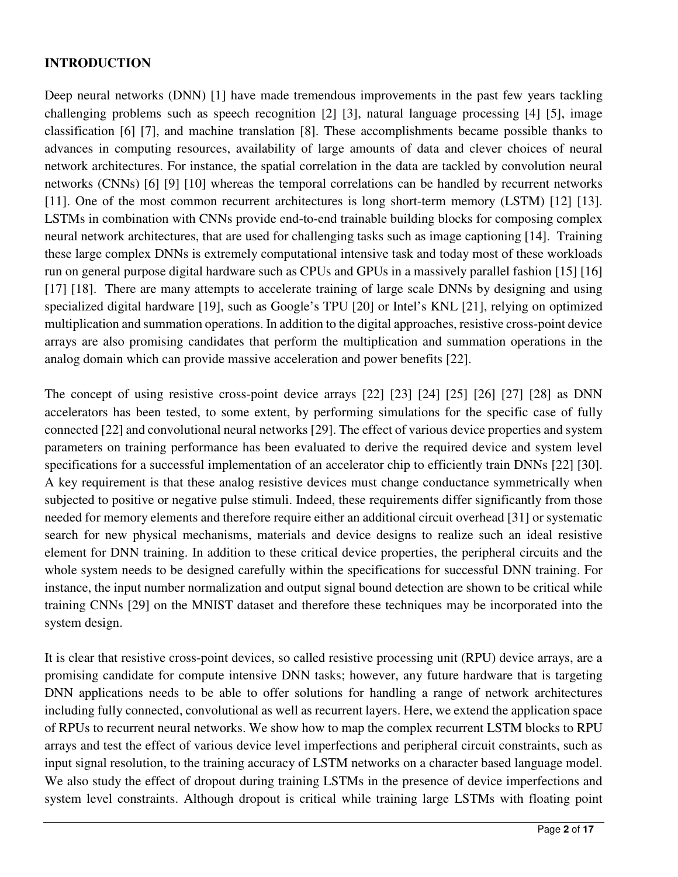## **INTRODUCTION**

Deep neural networks (DNN) [1] have made tremendous improvements in the past few years tackling challenging problems such as speech recognition [2] [3], natural language processing [4] [5], image classification [6] [7], and machine translation [8]. These accomplishments became possible thanks to advances in computing resources, availability of large amounts of data and clever choices of neural network architectures. For instance, the spatial correlation in the data are tackled by convolution neural networks (CNNs) [6] [9] [10] whereas the temporal correlations can be handled by recurrent networks [11]. One of the most common recurrent architectures is long short-term memory (LSTM) [12] [13]. LSTMs in combination with CNNs provide end-to-end trainable building blocks for composing complex neural network architectures, that are used for challenging tasks such as image captioning [14]. Training these large complex DNNs is extremely computational intensive task and today most of these workloads run on general purpose digital hardware such as CPUs and GPUs in a massively parallel fashion [15] [16] [17] [18]. There are many attempts to accelerate training of large scale DNNs by designing and using specialized digital hardware [19], such as Google's TPU [20] or Intel's KNL [21], relying on optimized multiplication and summation operations. In addition to the digital approaches, resistive cross-point device arrays are also promising candidates that perform the multiplication and summation operations in the analog domain which can provide massive acceleration and power benefits [22].

The concept of using resistive cross-point device arrays [22] [23] [24] [25] [26] [27] [28] as DNN accelerators has been tested, to some extent, by performing simulations for the specific case of fully connected [22] and convolutional neural networks [29]. The effect of various device properties and system parameters on training performance has been evaluated to derive the required device and system level specifications for a successful implementation of an accelerator chip to efficiently train DNNs [22] [30]. A key requirement is that these analog resistive devices must change conductance symmetrically when subjected to positive or negative pulse stimuli. Indeed, these requirements differ significantly from those needed for memory elements and therefore require either an additional circuit overhead [31] or systematic search for new physical mechanisms, materials and device designs to realize such an ideal resistive element for DNN training. In addition to these critical device properties, the peripheral circuits and the whole system needs to be designed carefully within the specifications for successful DNN training. For instance, the input number normalization and output signal bound detection are shown to be critical while training CNNs [29] on the MNIST dataset and therefore these techniques may be incorporated into the system design.

It is clear that resistive cross-point devices, so called resistive processing unit (RPU) device arrays, are a promising candidate for compute intensive DNN tasks; however, any future hardware that is targeting DNN applications needs to be able to offer solutions for handling a range of network architectures including fully connected, convolutional as well as recurrent layers. Here, we extend the application space of RPUs to recurrent neural networks. We show how to map the complex recurrent LSTM blocks to RPU arrays and test the effect of various device level imperfections and peripheral circuit constraints, such as input signal resolution, to the training accuracy of LSTM networks on a character based language model. We also study the effect of dropout during training LSTMs in the presence of device imperfections and system level constraints. Although dropout is critical while training large LSTMs with floating point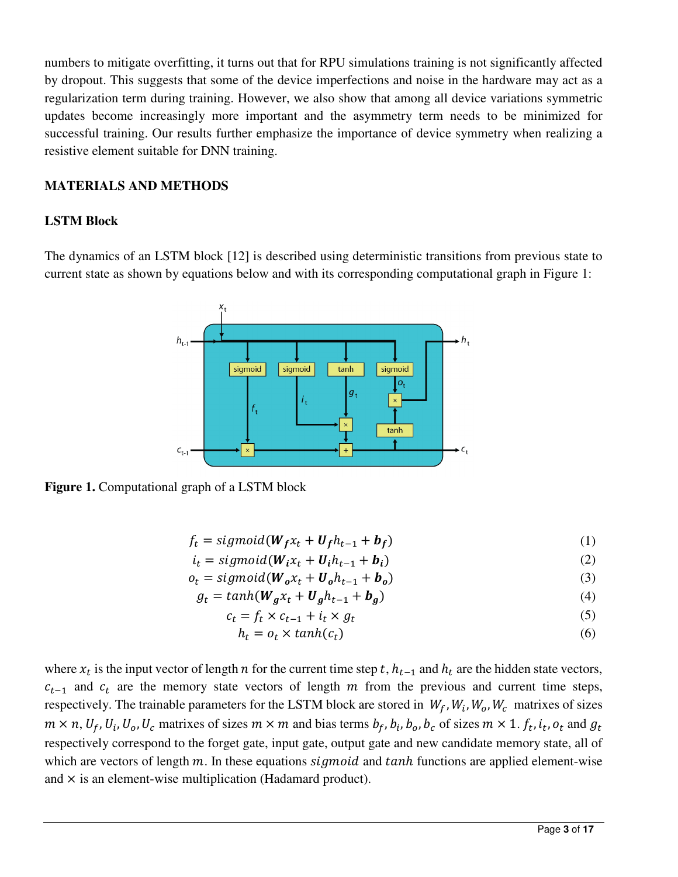numbers to mitigate overfitting, it turns out that for RPU simulations training is not significantly affected by dropout. This suggests that some of the device imperfections and noise in the hardware may act as a regularization term during training. However, we also show that among all device variations symmetric updates become increasingly more important and the asymmetry term needs to be minimized for successful training. Our results further emphasize the importance of device symmetry when realizing a resistive element suitable for DNN training.

## **MATERIALS AND METHODS**

### **LSTM Block**

The dynamics of an LSTM block [12] is described using deterministic transitions from previous state to current state as shown by equations below and with its corresponding computational graph in Figure 1:



**Figure 1.** Computational graph of a LSTM block

$$
f_t = sigmoid(W_f x_t + U_f h_{t-1} + b_f)
$$
\n(1)

$$
i_t = sigmoid(W_i x_t + U_i h_{t-1} + b_i)
$$
\n(2)

 $o_t = sigmoid(W_0 x_t + U_0 h_{t-1} + b_0)$  (3)

$$
g_t = \tanh(W_g x_t + U_g h_{t-1} + b_g) \tag{4}
$$

$$
c_t = f_t \times c_{t-1} + i_t \times g_t \tag{5}
$$

$$
h_t = o_t \times \tanh(c_t) \tag{6}
$$

where  $x_t$  is the input vector of length *n* for the current time step *t*,  $h_{t-1}$  and  $h_t$  are the hidden state vectors,  $c_{t-1}$  and  $c_t$  are the memory state vectors of length m from the previous and current time steps, respectively. The trainable parameters for the LSTM block are stored in  $W_f$ ,  $W_i$ ,  $W_o$ ,  $W_c$  matrixes of sizes  $m \times n$ ,  $U_f$ ,  $U_i$ ,  $U_o$ ,  $U_c$  matrixes of sizes  $m \times m$  and bias terms  $b_f$ ,  $b_i$ ,  $b_o$ ,  $b_c$  of sizes  $m \times 1$ .  $f_t$ ,  $i_t$ ,  $o_t$  and  $g_t$ respectively correspond to the forget gate, input gate, output gate and new candidate memory state, all of which are vectors of length  $m$ . In these equations  $sigmoid$  and  $tanh$  functions are applied element-wise and  $\times$  is an element-wise multiplication (Hadamard product).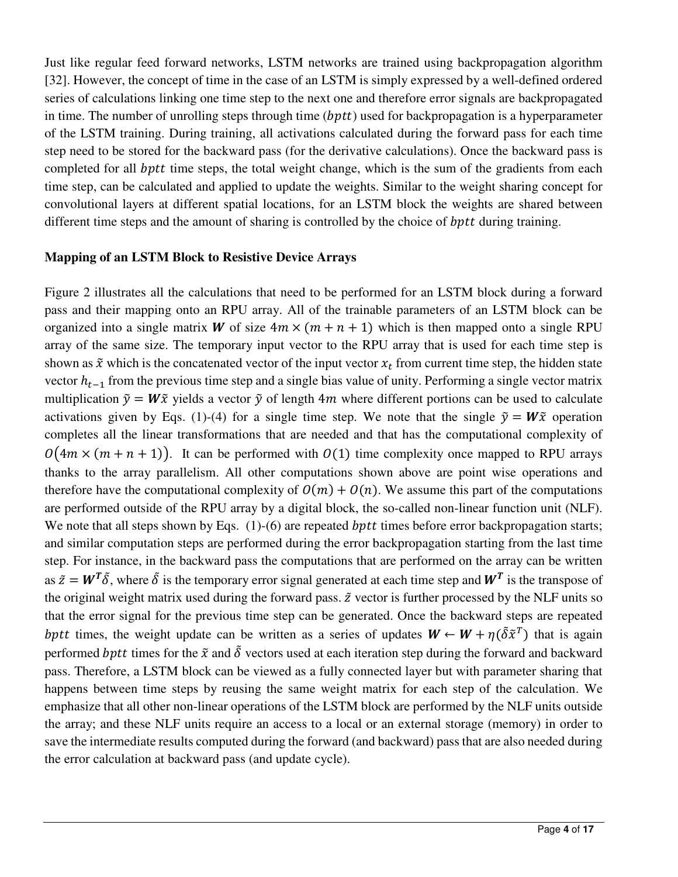Just like regular feed forward networks, LSTM networks are trained using backpropagation algorithm [32]. However, the concept of time in the case of an LSTM is simply expressed by a well-defined ordered series of calculations linking one time step to the next one and therefore error signals are backpropagated in time. The number of unrolling steps through time  $(bptt)$  used for backpropagation is a hyperparameter of the LSTM training. During training, all activations calculated during the forward pass for each time step need to be stored for the backward pass (for the derivative calculations). Once the backward pass is completed for all *bptt* time steps, the total weight change, which is the sum of the gradients from each time step, can be calculated and applied to update the weights. Similar to the weight sharing concept for convolutional layers at different spatial locations, for an LSTM block the weights are shared between different time steps and the amount of sharing is controlled by the choice of  $bptt$  during training.

### **Mapping of an LSTM Block to Resistive Device Arrays**

Figure 2 illustrates all the calculations that need to be performed for an LSTM block during a forward pass and their mapping onto an RPU array. All of the trainable parameters of an LSTM block can be organized into a single matrix W of size  $4m \times (m + n + 1)$  which is then mapped onto a single RPU array of the same size. The temporary input vector to the RPU array that is used for each time step is shown as  $\tilde{x}$  which is the concatenated vector of the input vector  $x_t$  from current time step, the hidden state vector  $h_{t-1}$  from the previous time step and a single bias value of unity. Performing a single vector matrix multiplication  $\tilde{y} = W\tilde{x}$  yields a vector  $\tilde{y}$  of length 4*m* where different portions can be used to calculate activations given by Eqs. (1)-(4) for a single time step. We note that the single  $\tilde{y} = W\tilde{x}$  operation completes all the linear transformations that are needed and that has the computational complexity of  $\theta(4m \times (m + n + 1))$ . It can be performed with  $\theta(1)$  time complexity once mapped to RPU arrays thanks to the array parallelism. All other computations shown above are point wise operations and therefore have the computational complexity of  $O(m) + O(n)$ . We assume this part of the computations are performed outside of the RPU array by a digital block, the so-called non-linear function unit (NLF). We note that all steps shown by Eqs.  $(1)-(6)$  are repeated *bptt* times before error backpropagation starts; and similar computation steps are performed during the error backpropagation starting from the last time step. For instance, in the backward pass the computations that are performed on the array can be written as  $\tilde{z} = W^T \tilde{\delta}$ , where  $\tilde{\delta}$  is the temporary error signal generated at each time step and  $W^T$  is the transpose of the original weight matrix used during the forward pass.  $\tilde{z}$  vector is further processed by the NLF units so that the error signal for the previous time step can be generated. Once the backward steps are repeated bptt times, the weight update can be written as a series of updates  $W \leftarrow W + \eta(\tilde{\delta} \tilde{x}^T)$  that is again performed bptt times for the  $\tilde{x}$  and  $\tilde{\delta}$  vectors used at each iteration step during the forward and backward pass. Therefore, a LSTM block can be viewed as a fully connected layer but with parameter sharing that happens between time steps by reusing the same weight matrix for each step of the calculation. We emphasize that all other non-linear operations of the LSTM block are performed by the NLF units outside the array; and these NLF units require an access to a local or an external storage (memory) in order to save the intermediate results computed during the forward (and backward) pass that are also needed during the error calculation at backward pass (and update cycle).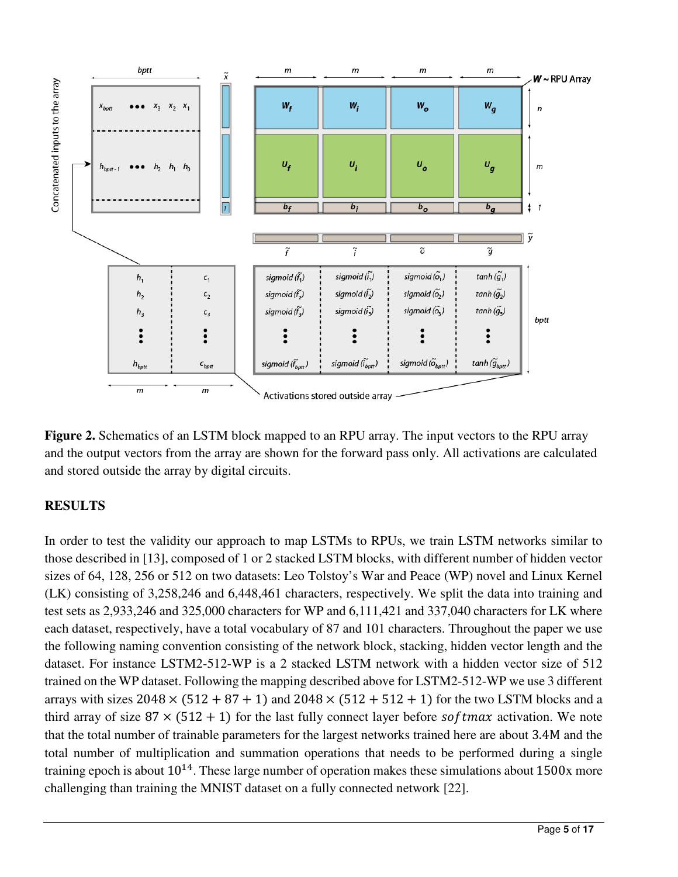

**Figure 2.** Schematics of an LSTM block mapped to an RPU array. The input vectors to the RPU array and the output vectors from the array are shown for the forward pass only. All activations are calculated and stored outside the array by digital circuits.

## **RESULTS**

In order to test the validity our approach to map LSTMs to RPUs, we train LSTM networks similar to those described in [13], composed of 1 or 2 stacked LSTM blocks, with different number of hidden vector sizes of 64, 128, 256 or 512 on two datasets: Leo Tolstoy's War and Peace (WP) novel and Linux Kernel (LK) consisting of 3,258,246 and 6,448,461 characters, respectively. We split the data into training and test sets as 2,933,246 and 325,000 characters for WP and 6,111,421 and 337,040 characters for LK where each dataset, respectively, have a total vocabulary of 87 and 101 characters. Throughout the paper we use the following naming convention consisting of the network block, stacking, hidden vector length and the dataset. For instance LSTM2-512-WP is a 2 stacked LSTM network with a hidden vector size of 512 trained on the WP dataset. Following the mapping described above for LSTM2-512-WP we use 3 different arrays with sizes  $2048 \times (512 + 87 + 1)$  and  $2048 \times (512 + 512 + 1)$  for the two LSTM blocks and a third array of size  $87 \times (512 + 1)$  for the last fully connect layer before softmax activation. We note that the total number of trainable parameters for the largest networks trained here are about 3.4M and the total number of multiplication and summation operations that needs to be performed during a single training epoch is about  $10^{14}$ . These large number of operation makes these simulations about 1500x more challenging than training the MNIST dataset on a fully connected network [22].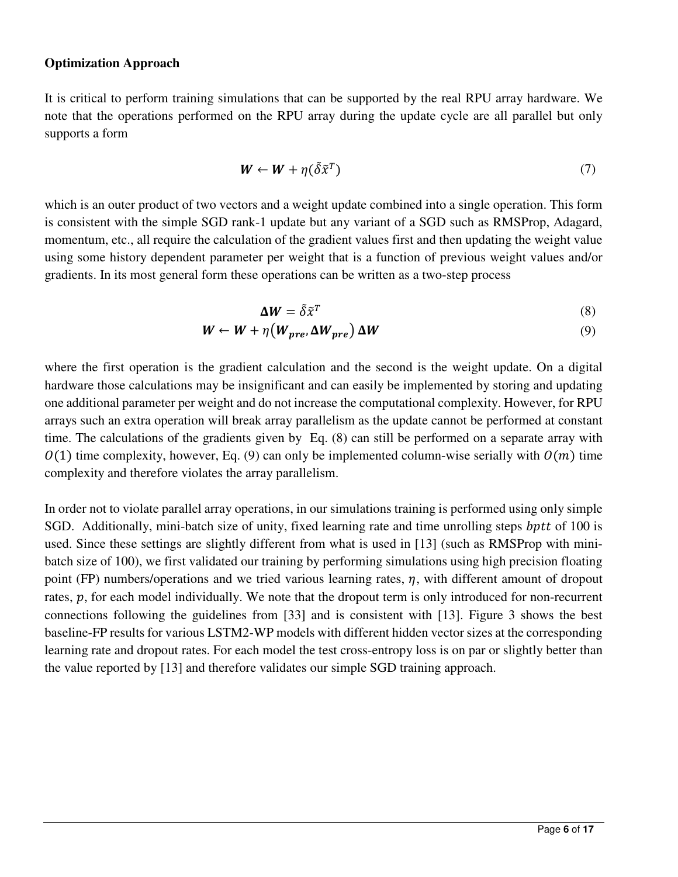#### **Optimization Approach**

It is critical to perform training simulations that can be supported by the real RPU array hardware. We note that the operations performed on the RPU array during the update cycle are all parallel but only supports a form

$$
\mathbf{W} \leftarrow \mathbf{W} + \eta (\tilde{\delta} \tilde{\mathbf{x}}^T) \tag{7}
$$

which is an outer product of two vectors and a weight update combined into a single operation. This form is consistent with the simple SGD rank-1 update but any variant of a SGD such as RMSProp, Adagard, momentum, etc., all require the calculation of the gradient values first and then updating the weight value using some history dependent parameter per weight that is a function of previous weight values and/or gradients. In its most general form these operations can be written as a two-step process

$$
\Delta W = \tilde{\delta} \tilde{x}^T \tag{8}
$$

$$
W \leftarrow W + \eta \left( W_{pre}, \Delta W_{pre} \right) \Delta W \tag{9}
$$

where the first operation is the gradient calculation and the second is the weight update. On a digital hardware those calculations may be insignificant and can easily be implemented by storing and updating one additional parameter per weight and do not increase the computational complexity. However, for RPU arrays such an extra operation will break array parallelism as the update cannot be performed at constant time. The calculations of the gradients given by Eq. (8) can still be performed on a separate array with  $(1)$  time complexity, however, Eq. (9) can only be implemented column-wise serially with  $(0/m)$  time complexity and therefore violates the array parallelism.

In order not to violate parallel array operations, in our simulations training is performed using only simple SGD. Additionally, mini-batch size of unity, fixed learning rate and time unrolling steps bptt of 100 is used. Since these settings are slightly different from what is used in [13] (such as RMSProp with minibatch size of 100), we first validated our training by performing simulations using high precision floating point (FP) numbers/operations and we tried various learning rates,  $\eta$ , with different amount of dropout rates,  $p$ , for each model individually. We note that the dropout term is only introduced for non-recurrent connections following the guidelines from [33] and is consistent with [13]. Figure 3 shows the best baseline-FP results for various LSTM2-WP models with different hidden vector sizes at the corresponding learning rate and dropout rates. For each model the test cross-entropy loss is on par or slightly better than the value reported by [13] and therefore validates our simple SGD training approach.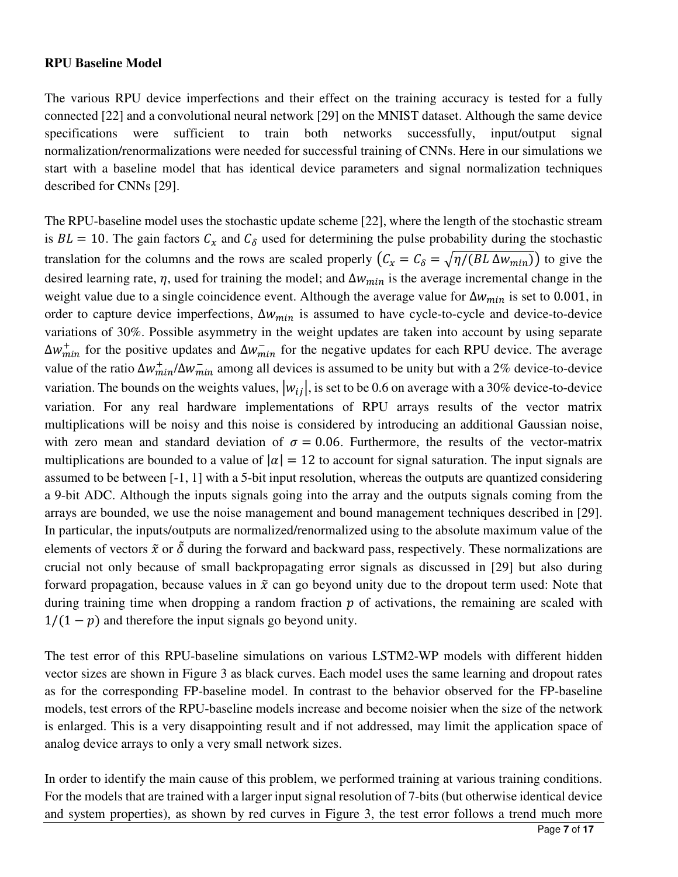#### **RPU Baseline Model**

The various RPU device imperfections and their effect on the training accuracy is tested for a fully connected [22] and a convolutional neural network [29] on the MNIST dataset. Although the same device specifications were sufficient to train both networks successfully, input/output signal normalization/renormalizations were needed for successful training of CNNs. Here in our simulations we start with a baseline model that has identical device parameters and signal normalization techniques described for CNNs [29].

The RPU-baseline model uses the stochastic update scheme [22], where the length of the stochastic stream is  $BL = 10$ . The gain factors  $C_x$  and  $C_\delta$  used for determining the pulse probability during the stochastic translation for the columns and the rows are scaled properly  $(C_x = C_\delta = \sqrt{\eta/(BL\Delta w_{min})})$  to give the desired learning rate,  $\eta$ , used for training the model; and  $\Delta w_{min}$  is the average incremental change in the weight value due to a single coincidence event. Although the average value for  $\Delta w_{min}$  is set to 0.001, in order to capture device imperfections,  $\Delta w_{min}$  is assumed to have cycle-to-cycle and device-to-device variations of 30%. Possible asymmetry in the weight updates are taken into account by using separate  $\Delta w_{min}^+$  for the positive updates and  $\Delta w_{min}^-$  for the negative updates for each RPU device. The average value of the ratio  $\Delta w_{min}^+ / \Delta w_{min}^-$  among all devices is assumed to be unity but with a 2% device-to-device variation. The bounds on the weights values,  $|w_{ij}|$ , is set to be 0.6 on average with a 30% device-to-device variation. For any real hardware implementations of RPU arrays results of the vector matrix multiplications will be noisy and this noise is considered by introducing an additional Gaussian noise, with zero mean and standard deviation of  $\sigma = 0.06$ . Furthermore, the results of the vector-matrix multiplications are bounded to a value of  $|\alpha| = 12$  to account for signal saturation. The input signals are assumed to be between [-1, 1] with a 5-bit input resolution, whereas the outputs are quantized considering a 9-bit ADC. Although the inputs signals going into the array and the outputs signals coming from the arrays are bounded, we use the noise management and bound management techniques described in [29]. In particular, the inputs/outputs are normalized/renormalized using to the absolute maximum value of the elements of vectors  $\tilde{x}$  or  $\tilde{\delta}$  during the forward and backward pass, respectively. These normalizations are crucial not only because of small backpropagating error signals as discussed in [29] but also during forward propagation, because values in  $\tilde{x}$  can go beyond unity due to the dropout term used: Note that during training time when dropping a random fraction  $p$  of activations, the remaining are scaled with  $1/(1 - p)$  and therefore the input signals go beyond unity.

The test error of this RPU-baseline simulations on various LSTM2-WP models with different hidden vector sizes are shown in Figure 3 as black curves. Each model uses the same learning and dropout rates as for the corresponding FP-baseline model. In contrast to the behavior observed for the FP-baseline models, test errors of the RPU-baseline models increase and become noisier when the size of the network is enlarged. This is a very disappointing result and if not addressed, may limit the application space of analog device arrays to only a very small network sizes.

In order to identify the main cause of this problem, we performed training at various training conditions. For the models that are trained with a larger input signal resolution of 7-bits (but otherwise identical device and system properties), as shown by red curves in Figure 3, the test error follows a trend much more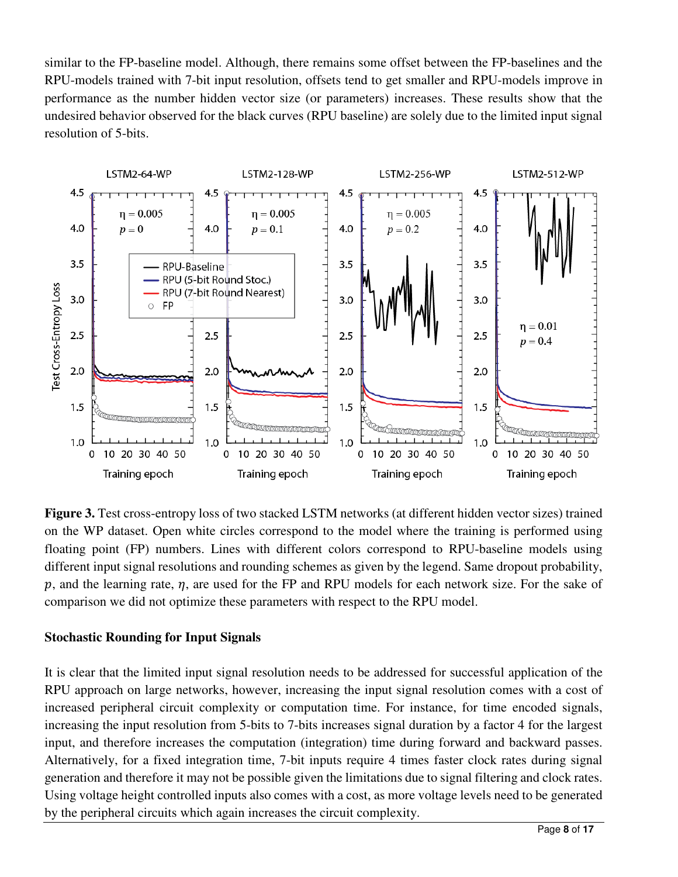similar to the FP-baseline model. Although, there remains some offset between the FP-baselines and the RPU-models trained with 7-bit input resolution, offsets tend to get smaller and RPU-models improve in performance as the number hidden vector size (or parameters) increases. These results show that the undesired behavior observed for the black curves (RPU baseline) are solely due to the limited input signal resolution of 5-bits.



**Figure 3.** Test cross-entropy loss of two stacked LSTM networks (at different hidden vector sizes) trained on the WP dataset. Open white circles correspond to the model where the training is performed using floating point (FP) numbers. Lines with different colors correspond to RPU-baseline models using different input signal resolutions and rounding schemes as given by the legend. Same dropout probability, p, and the learning rate,  $\eta$ , are used for the FP and RPU models for each network size. For the sake of comparison we did not optimize these parameters with respect to the RPU model.

## **Stochastic Rounding for Input Signals**

It is clear that the limited input signal resolution needs to be addressed for successful application of the RPU approach on large networks, however, increasing the input signal resolution comes with a cost of increased peripheral circuit complexity or computation time. For instance, for time encoded signals, increasing the input resolution from 5-bits to 7-bits increases signal duration by a factor 4 for the largest input, and therefore increases the computation (integration) time during forward and backward passes. Alternatively, for a fixed integration time, 7-bit inputs require 4 times faster clock rates during signal generation and therefore it may not be possible given the limitations due to signal filtering and clock rates. Using voltage height controlled inputs also comes with a cost, as more voltage levels need to be generated by the peripheral circuits which again increases the circuit complexity.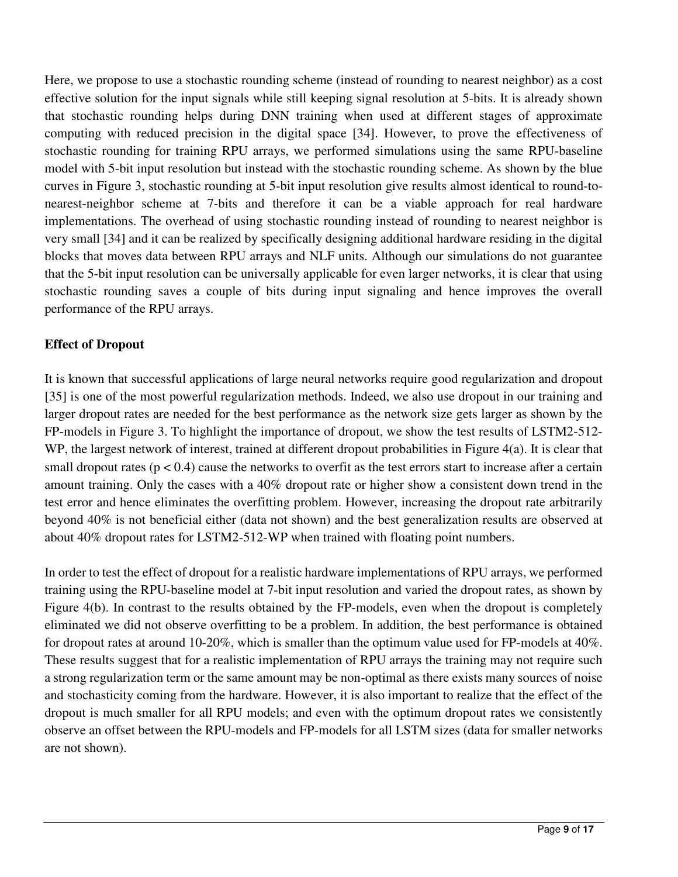Here, we propose to use a stochastic rounding scheme (instead of rounding to nearest neighbor) as a cost effective solution for the input signals while still keeping signal resolution at 5-bits. It is already shown that stochastic rounding helps during DNN training when used at different stages of approximate computing with reduced precision in the digital space [34]. However, to prove the effectiveness of stochastic rounding for training RPU arrays, we performed simulations using the same RPU-baseline model with 5-bit input resolution but instead with the stochastic rounding scheme. As shown by the blue curves in Figure 3, stochastic rounding at 5-bit input resolution give results almost identical to round-tonearest-neighbor scheme at 7-bits and therefore it can be a viable approach for real hardware implementations. The overhead of using stochastic rounding instead of rounding to nearest neighbor is very small [34] and it can be realized by specifically designing additional hardware residing in the digital blocks that moves data between RPU arrays and NLF units. Although our simulations do not guarantee that the 5-bit input resolution can be universally applicable for even larger networks, it is clear that using stochastic rounding saves a couple of bits during input signaling and hence improves the overall performance of the RPU arrays.

## **Effect of Dropout**

It is known that successful applications of large neural networks require good regularization and dropout [35] is one of the most powerful regularization methods. Indeed, we also use dropout in our training and larger dropout rates are needed for the best performance as the network size gets larger as shown by the FP-models in Figure 3. To highlight the importance of dropout, we show the test results of LSTM2-512- WP, the largest network of interest, trained at different dropout probabilities in Figure 4(a). It is clear that small dropout rates ( $p < 0.4$ ) cause the networks to overfit as the test errors start to increase after a certain amount training. Only the cases with a 40% dropout rate or higher show a consistent down trend in the test error and hence eliminates the overfitting problem. However, increasing the dropout rate arbitrarily beyond 40% is not beneficial either (data not shown) and the best generalization results are observed at about 40% dropout rates for LSTM2-512-WP when trained with floating point numbers.

In order to test the effect of dropout for a realistic hardware implementations of RPU arrays, we performed training using the RPU-baseline model at 7-bit input resolution and varied the dropout rates, as shown by Figure 4(b). In contrast to the results obtained by the FP-models, even when the dropout is completely eliminated we did not observe overfitting to be a problem. In addition, the best performance is obtained for dropout rates at around 10-20%, which is smaller than the optimum value used for FP-models at 40%. These results suggest that for a realistic implementation of RPU arrays the training may not require such a strong regularization term or the same amount may be non-optimal as there exists many sources of noise and stochasticity coming from the hardware. However, it is also important to realize that the effect of the dropout is much smaller for all RPU models; and even with the optimum dropout rates we consistently observe an offset between the RPU-models and FP-models for all LSTM sizes (data for smaller networks are not shown).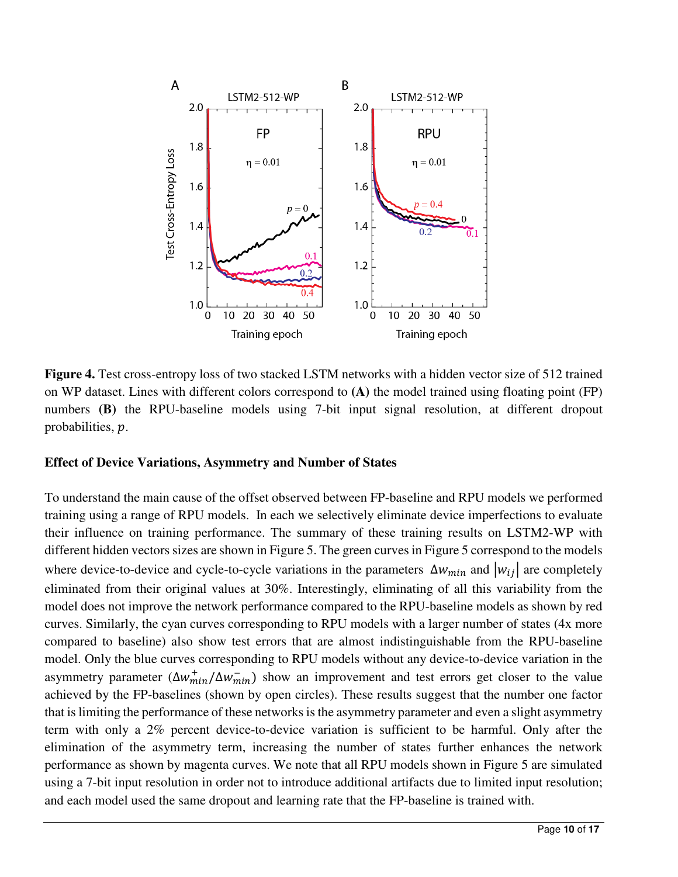

**Figure 4.** Test cross-entropy loss of two stacked LSTM networks with a hidden vector size of 512 trained on WP dataset. Lines with different colors correspond to **(A)** the model trained using floating point (FP) numbers **(B)** the RPU-baseline models using 7-bit input signal resolution, at different dropout probabilities,  $p$ .

## **Effect of Device Variations, Asymmetry and Number of States**

To understand the main cause of the offset observed between FP-baseline and RPU models we performed training using a range of RPU models. In each we selectively eliminate device imperfections to evaluate their influence on training performance. The summary of these training results on LSTM2-WP with different hidden vectors sizes are shown in Figure 5. The green curves in Figure 5 correspond to the models where device-to-device and cycle-to-cycle variations in the parameters  $\Delta w_{min}$  and  $|w_{ij}|$  are completely eliminated from their original values at 30%. Interestingly, eliminating of all this variability from the model does not improve the network performance compared to the RPU-baseline models as shown by red curves. Similarly, the cyan curves corresponding to RPU models with a larger number of states (4x more compared to baseline) also show test errors that are almost indistinguishable from the RPU-baseline model. Only the blue curves corresponding to RPU models without any device-to-device variation in the asymmetry parameter  $(\Delta w_{min}^+ / \Delta w_{min}^-)$  show an improvement and test errors get closer to the value achieved by the FP-baselines (shown by open circles). These results suggest that the number one factor that is limiting the performance of these networks is the asymmetry parameter and even a slight asymmetry term with only a 2% percent device-to-device variation is sufficient to be harmful. Only after the elimination of the asymmetry term, increasing the number of states further enhances the network performance as shown by magenta curves. We note that all RPU models shown in Figure 5 are simulated using a 7-bit input resolution in order not to introduce additional artifacts due to limited input resolution; and each model used the same dropout and learning rate that the FP-baseline is trained with.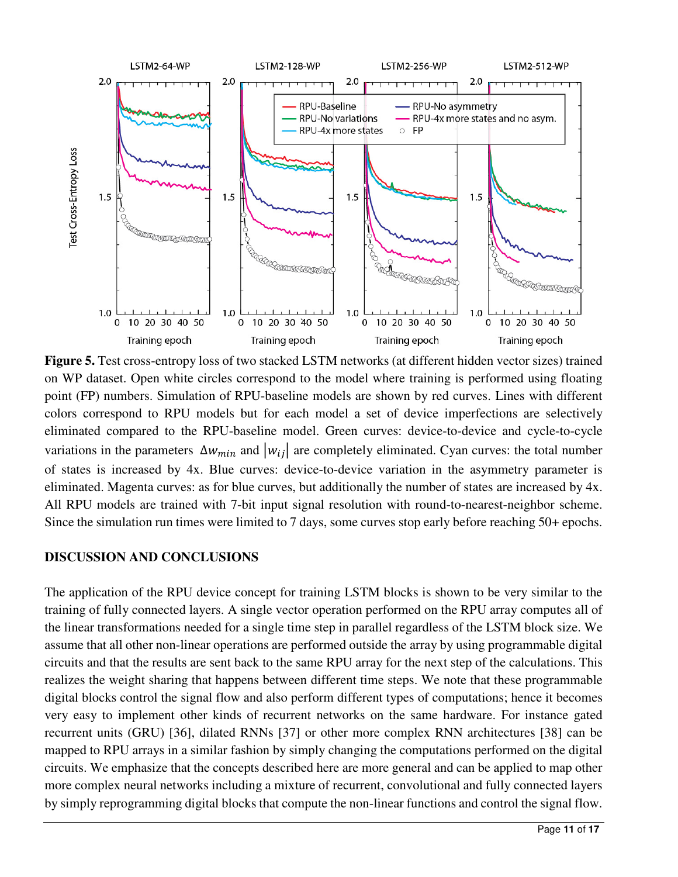

**Figure 5.** Test cross-entropy loss of two stacked LSTM networks (at different hidden vector sizes) trained on WP dataset. Open white circles correspond to the model where training is performed using floating point (FP) numbers. Simulation of RPU-baseline models are shown by red curves. Lines with different colors correspond to RPU models but for each model a set of device imperfections are selectively eliminated compared to the RPU-baseline model. Green curves: device-to-device and cycle-to-cycle variations in the parameters  $\Delta w_{min}$  and  $|w_{ij}|$  are completely eliminated. Cyan curves: the total number of states is increased by 4x. Blue curves: device-to-device variation in the asymmetry parameter is eliminated. Magenta curves: as for blue curves, but additionally the number of states are increased by 4x. All RPU models are trained with 7-bit input signal resolution with round-to-nearest-neighbor scheme. Since the simulation run times were limited to 7 days, some curves stop early before reaching 50+ epochs.

## **DISCUSSION AND CONCLUSIONS**

The application of the RPU device concept for training LSTM blocks is shown to be very similar to the training of fully connected layers. A single vector operation performed on the RPU array computes all of the linear transformations needed for a single time step in parallel regardless of the LSTM block size. We assume that all other non-linear operations are performed outside the array by using programmable digital circuits and that the results are sent back to the same RPU array for the next step of the calculations. This realizes the weight sharing that happens between different time steps. We note that these programmable digital blocks control the signal flow and also perform different types of computations; hence it becomes very easy to implement other kinds of recurrent networks on the same hardware. For instance gated recurrent units (GRU) [36], dilated RNNs [37] or other more complex RNN architectures [38] can be mapped to RPU arrays in a similar fashion by simply changing the computations performed on the digital circuits. We emphasize that the concepts described here are more general and can be applied to map other more complex neural networks including a mixture of recurrent, convolutional and fully connected layers by simply reprogramming digital blocks that compute the non-linear functions and control the signal flow.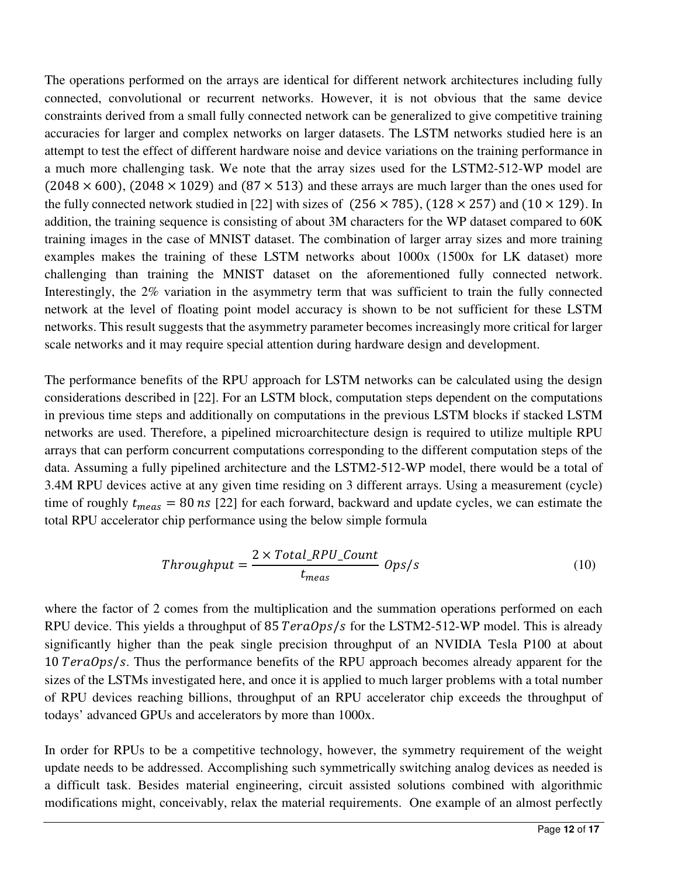The operations performed on the arrays are identical for different network architectures including fully connected, convolutional or recurrent networks. However, it is not obvious that the same device constraints derived from a small fully connected network can be generalized to give competitive training accuracies for larger and complex networks on larger datasets. The LSTM networks studied here is an attempt to test the effect of different hardware noise and device variations on the training performance in a much more challenging task. We note that the array sizes used for the LSTM2-512-WP model are  $(2048 \times 600)$ ,  $(2048 \times 1029)$  and  $(87 \times 513)$  and these arrays are much larger than the ones used for the fully connected network studied in [22] with sizes of  $(256 \times 785)$ ,  $(128 \times 257)$  and  $(10 \times 129)$ . In addition, the training sequence is consisting of about 3M characters for the WP dataset compared to 60K training images in the case of MNIST dataset. The combination of larger array sizes and more training examples makes the training of these LSTM networks about 1000x (1500x for LK dataset) more challenging than training the MNIST dataset on the aforementioned fully connected network. Interestingly, the 2% variation in the asymmetry term that was sufficient to train the fully connected network at the level of floating point model accuracy is shown to be not sufficient for these LSTM networks. This result suggests that the asymmetry parameter becomes increasingly more critical for larger scale networks and it may require special attention during hardware design and development.

The performance benefits of the RPU approach for LSTM networks can be calculated using the design considerations described in [22]. For an LSTM block, computation steps dependent on the computations in previous time steps and additionally on computations in the previous LSTM blocks if stacked LSTM networks are used. Therefore, a pipelined microarchitecture design is required to utilize multiple RPU arrays that can perform concurrent computations corresponding to the different computation steps of the data. Assuming a fully pipelined architecture and the LSTM2-512-WP model, there would be a total of 3.4M RPU devices active at any given time residing on 3 different arrays. Using a measurement (cycle) time of roughly  $t_{meas} = 80 \text{ ns}$  [22] for each forward, backward and update cycles, we can estimate the total RPU accelerator chip performance using the below simple formula

$$
Throughput = \frac{2 \times Total\_RPU\_Count}{t_{meas}} \text{ }Ops/s \tag{10}
$$

where the factor of 2 comes from the multiplication and the summation operations performed on each RPU device. This yields a throughput of 85  $TeraOps/s$  for the LSTM2-512-WP model. This is already significantly higher than the peak single precision throughput of an NVIDIA Tesla P100 at about  $10$  TeraOps/s. Thus the performance benefits of the RPU approach becomes already apparent for the sizes of the LSTMs investigated here, and once it is applied to much larger problems with a total number of RPU devices reaching billions, throughput of an RPU accelerator chip exceeds the throughput of todays' advanced GPUs and accelerators by more than 1000x.

In order for RPUs to be a competitive technology, however, the symmetry requirement of the weight update needs to be addressed. Accomplishing such symmetrically switching analog devices as needed is a difficult task. Besides material engineering, circuit assisted solutions combined with algorithmic modifications might, conceivably, relax the material requirements. One example of an almost perfectly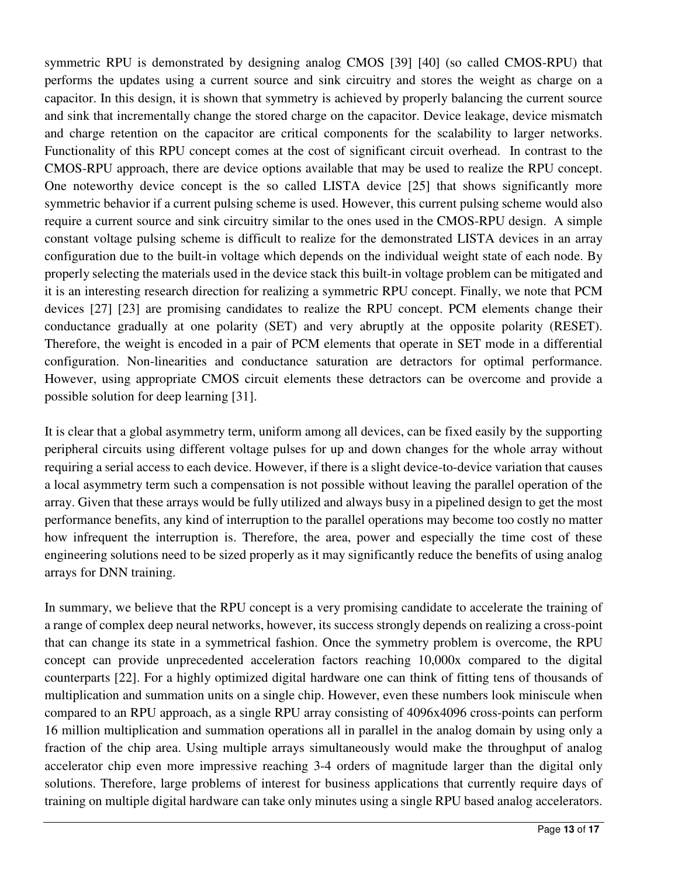symmetric RPU is demonstrated by designing analog CMOS [39] [40] (so called CMOS-RPU) that performs the updates using a current source and sink circuitry and stores the weight as charge on a capacitor. In this design, it is shown that symmetry is achieved by properly balancing the current source and sink that incrementally change the stored charge on the capacitor. Device leakage, device mismatch and charge retention on the capacitor are critical components for the scalability to larger networks. Functionality of this RPU concept comes at the cost of significant circuit overhead. In contrast to the CMOS-RPU approach, there are device options available that may be used to realize the RPU concept. One noteworthy device concept is the so called LISTA device [25] that shows significantly more symmetric behavior if a current pulsing scheme is used. However, this current pulsing scheme would also require a current source and sink circuitry similar to the ones used in the CMOS-RPU design. A simple constant voltage pulsing scheme is difficult to realize for the demonstrated LISTA devices in an array configuration due to the built-in voltage which depends on the individual weight state of each node. By properly selecting the materials used in the device stack this built-in voltage problem can be mitigated and it is an interesting research direction for realizing a symmetric RPU concept. Finally, we note that PCM devices [27] [23] are promising candidates to realize the RPU concept. PCM elements change their conductance gradually at one polarity (SET) and very abruptly at the opposite polarity (RESET). Therefore, the weight is encoded in a pair of PCM elements that operate in SET mode in a differential configuration. Non-linearities and conductance saturation are detractors for optimal performance. However, using appropriate CMOS circuit elements these detractors can be overcome and provide a possible solution for deep learning [31].

It is clear that a global asymmetry term, uniform among all devices, can be fixed easily by the supporting peripheral circuits using different voltage pulses for up and down changes for the whole array without requiring a serial access to each device. However, if there is a slight device-to-device variation that causes a local asymmetry term such a compensation is not possible without leaving the parallel operation of the array. Given that these arrays would be fully utilized and always busy in a pipelined design to get the most performance benefits, any kind of interruption to the parallel operations may become too costly no matter how infrequent the interruption is. Therefore, the area, power and especially the time cost of these engineering solutions need to be sized properly as it may significantly reduce the benefits of using analog arrays for DNN training.

In summary, we believe that the RPU concept is a very promising candidate to accelerate the training of a range of complex deep neural networks, however, its success strongly depends on realizing a cross-point that can change its state in a symmetrical fashion. Once the symmetry problem is overcome, the RPU concept can provide unprecedented acceleration factors reaching 10,000x compared to the digital counterparts [22]. For a highly optimized digital hardware one can think of fitting tens of thousands of multiplication and summation units on a single chip. However, even these numbers look miniscule when compared to an RPU approach, as a single RPU array consisting of 4096x4096 cross-points can perform 16 million multiplication and summation operations all in parallel in the analog domain by using only a fraction of the chip area. Using multiple arrays simultaneously would make the throughput of analog accelerator chip even more impressive reaching 3-4 orders of magnitude larger than the digital only solutions. Therefore, large problems of interest for business applications that currently require days of training on multiple digital hardware can take only minutes using a single RPU based analog accelerators.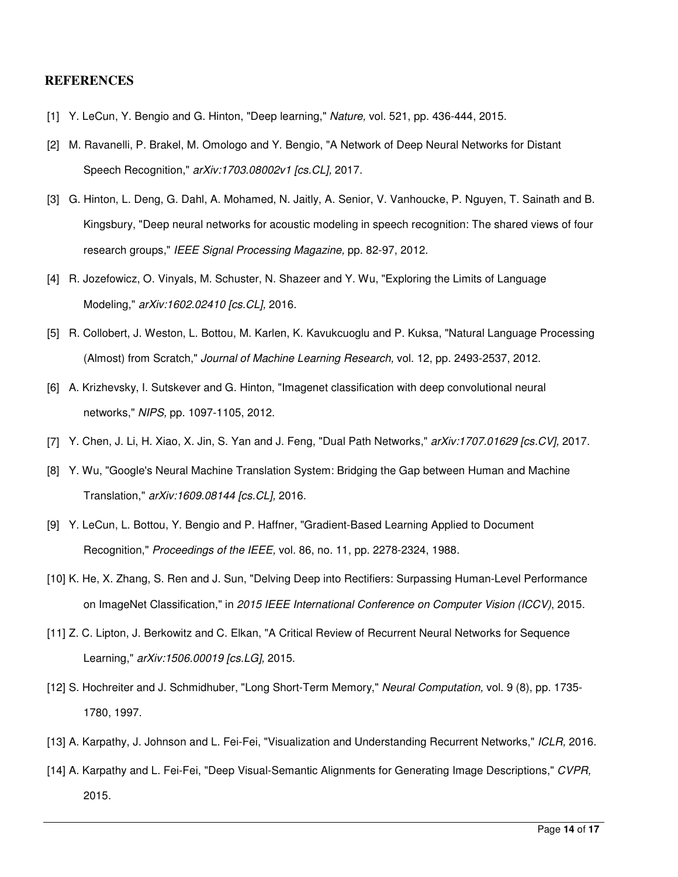#### **REFERENCES**

- [1] Y. LeCun, Y. Bengio and G. Hinton, "Deep learning," *Nature,* vol. 521, pp. 436-444, 2015.
- [2] M. Ravanelli, P. Brakel, M. Omologo and Y. Bengio, "A Network of Deep Neural Networks for Distant Speech Recognition," *arXiv:1703.08002v1 [cs.CL],* 2017.
- [3] G. Hinton, L. Deng, G. Dahl, A. Mohamed, N. Jaitly, A. Senior, V. Vanhoucke, P. Nguyen, T. Sainath and B. Kingsbury, "Deep neural networks for acoustic modeling in speech recognition: The shared views of four research groups," *IEEE Signal Processing Magazine,* pp. 82-97, 2012.
- [4] R. Jozefowicz, O. Vinyals, M. Schuster, N. Shazeer and Y. Wu, "Exploring the Limits of Language Modeling," *arXiv:1602.02410 [cs.CL],* 2016.
- [5] R. Collobert, J. Weston, L. Bottou, M. Karlen, K. Kavukcuoglu and P. Kuksa, "Natural Language Processing (Almost) from Scratch," *Journal of Machine Learning Research,* vol. 12, pp. 2493-2537, 2012.
- [6] A. Krizhevsky, I. Sutskever and G. Hinton, "Imagenet classification with deep convolutional neural networks," *NIPS,* pp. 1097-1105, 2012.
- [7] Y. Chen, J. Li, H. Xiao, X. Jin, S. Yan and J. Feng, "Dual Path Networks," *arXiv:1707.01629 [cs.CV],* 2017.
- [8] Y. Wu, "Google's Neural Machine Translation System: Bridging the Gap between Human and Machine Translation," *arXiv:1609.08144 [cs.CL],* 2016.
- [9] Y. LeCun, L. Bottou, Y. Bengio and P. Haffner, "Gradient-Based Learning Applied to Document Recognition," *Proceedings of the IEEE,* vol. 86, no. 11, pp. 2278-2324, 1988.
- [10] K. He, X. Zhang, S. Ren and J. Sun, "Delving Deep into Rectifiers: Surpassing Human-Level Performance on ImageNet Classification," in *2015 IEEE International Conference on Computer Vision (ICCV)*, 2015.
- [11] Z. C. Lipton, J. Berkowitz and C. Elkan, "A Critical Review of Recurrent Neural Networks for Sequence Learning," *arXiv:1506.00019 [cs.LG],* 2015.
- [12] S. Hochreiter and J. Schmidhuber, "Long Short-Term Memory," *Neural Computation,* vol. 9 (8), pp. 1735- 1780, 1997.
- [13] A. Karpathy, J. Johnson and L. Fei-Fei, "Visualization and Understanding Recurrent Networks," *ICLR,* 2016.
- [14] A. Karpathy and L. Fei-Fei, "Deep Visual-Semantic Alignments for Generating Image Descriptions," *CVPR,*  2015.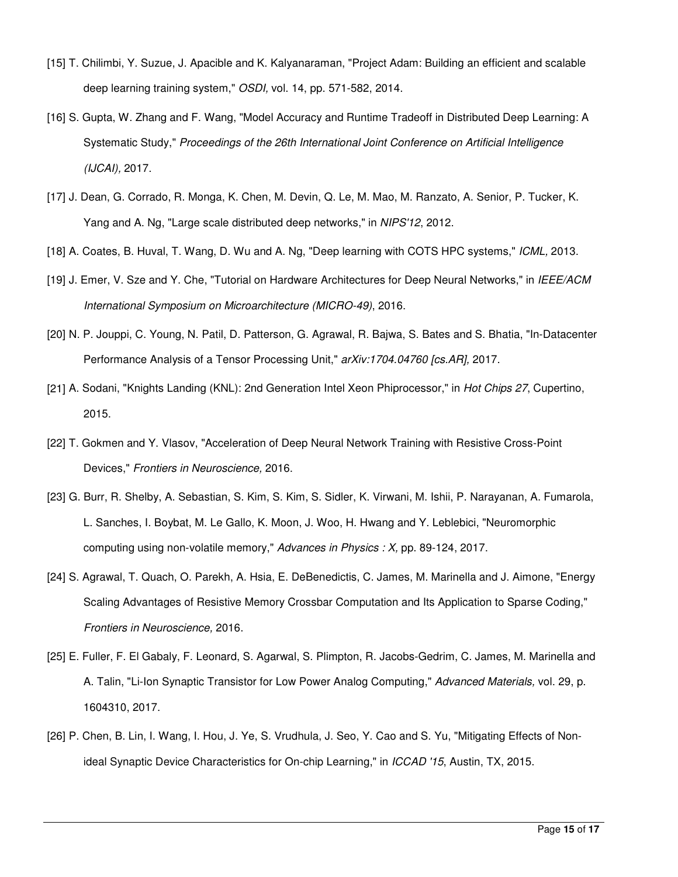- [15] T. Chilimbi, Y. Suzue, J. Apacible and K. Kalyanaraman, "Project Adam: Building an efficient and scalable deep learning training system," *OSDI,* vol. 14, pp. 571-582, 2014.
- [16] S. Gupta, W. Zhang and F. Wang, "Model Accuracy and Runtime Tradeoff in Distributed Deep Learning: A Systematic Study," *Proceedings of the 26th International Joint Conference on Artificial Intelligence (IJCAI),* 2017.
- [17] J. Dean, G. Corrado, R. Monga, K. Chen, M. Devin, Q. Le, M. Mao, M. Ranzato, A. Senior, P. Tucker, K. Yang and A. Ng, "Large scale distributed deep networks," in *NIPS'12*, 2012.
- [18] A. Coates, B. Huval, T. Wang, D. Wu and A. Ng, "Deep learning with COTS HPC systems," *ICML,* 2013.
- [19] J. Emer, V. Sze and Y. Che, "Tutorial on Hardware Architectures for Deep Neural Networks," in *IEEE/ACM International Symposium on Microarchitecture (MICRO-49)*, 2016.
- [20] N. P. Jouppi, C. Young, N. Patil, D. Patterson, G. Agrawal, R. Bajwa, S. Bates and S. Bhatia, "In-Datacenter Performance Analysis of a Tensor Processing Unit," *arXiv:1704.04760 [cs.AR],* 2017.
- [21] A. Sodani, "Knights Landing (KNL): 2nd Generation Intel Xeon Phiprocessor," in *Hot Chips 27*, Cupertino, 2015.
- [22] T. Gokmen and Y. Vlasov, "Acceleration of Deep Neural Network Training with Resistive Cross-Point Devices," *Frontiers in Neuroscience,* 2016.
- [23] G. Burr, R. Shelby, A. Sebastian, S. Kim, S. Kim, S. Sidler, K. Virwani, M. Ishii, P. Narayanan, A. Fumarola, L. Sanches, I. Boybat, M. Le Gallo, K. Moon, J. Woo, H. Hwang and Y. Leblebici, "Neuromorphic computing using non-volatile memory," *Advances in Physics : X,* pp. 89-124, 2017.
- [24] S. Agrawal, T. Quach, O. Parekh, A. Hsia, E. DeBenedictis, C. James, M. Marinella and J. Aimone, "Energy Scaling Advantages of Resistive Memory Crossbar Computation and Its Application to Sparse Coding," *Frontiers in Neuroscience,* 2016.
- [25] E. Fuller, F. El Gabaly, F. Leonard, S. Agarwal, S. Plimpton, R. Jacobs-Gedrim, C. James, M. Marinella and A. Talin, "Li-Ion Synaptic Transistor for Low Power Analog Computing," *Advanced Materials,* vol. 29, p. 1604310, 2017.
- [26] P. Chen, B. Lin, I. Wang, I. Hou, J. Ye, S. Vrudhula, J. Seo, Y. Cao and S. Yu, "Mitigating Effects of Nonideal Synaptic Device Characteristics for On-chip Learning," in *ICCAD '15*, Austin, TX, 2015.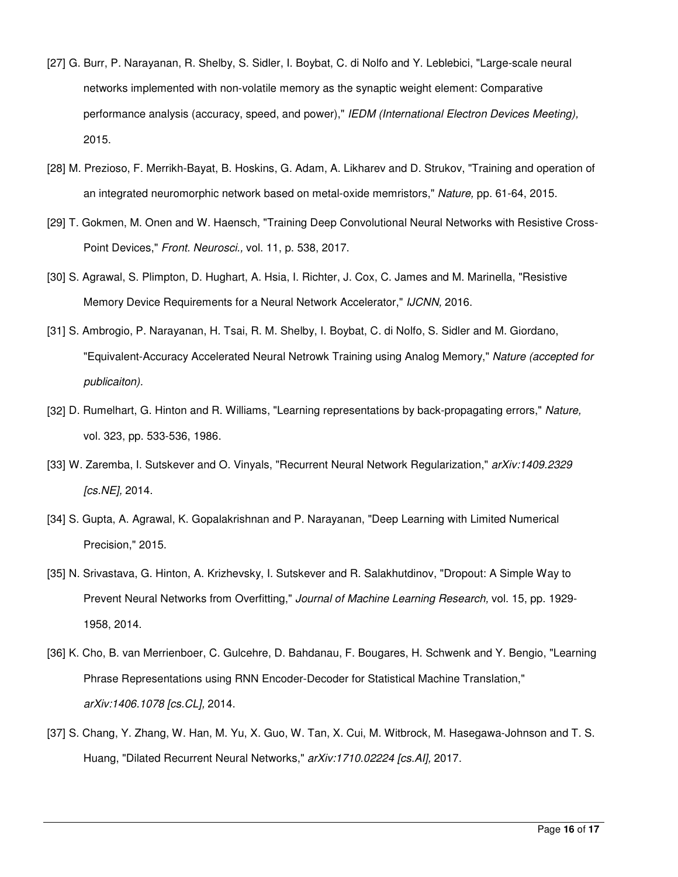- [27] G. Burr, P. Narayanan, R. Shelby, S. Sidler, I. Boybat, C. di Nolfo and Y. Leblebici, "Large-scale neural networks implemented with non-volatile memory as the synaptic weight element: Comparative performance analysis (accuracy, speed, and power)," *IEDM (International Electron Devices Meeting),*  2015.
- [28] M. Prezioso, F. Merrikh-Bayat, B. Hoskins, G. Adam, A. Likharev and D. Strukov, "Training and operation of an integrated neuromorphic network based on metal-oxide memristors," *Nature,* pp. 61-64, 2015.
- [29] T. Gokmen, M. Onen and W. Haensch, "Training Deep Convolutional Neural Networks with Resistive Cross-Point Devices," *Front. Neurosci.,* vol. 11, p. 538, 2017.
- [30] S. Agrawal, S. Plimpton, D. Hughart, A. Hsia, I. Richter, J. Cox, C. James and M. Marinella, "Resistive Memory Device Requirements for a Neural Network Accelerator," *IJCNN,* 2016.
- [31] S. Ambrogio, P. Narayanan, H. Tsai, R. M. Shelby, I. Boybat, C. di Nolfo, S. Sidler and M. Giordano, "Equivalent-Accuracy Accelerated Neural Netrowk Training using Analog Memory," *Nature (accepted for publicaiton).*
- [32] D. Rumelhart, G. Hinton and R. Williams, "Learning representations by back-propagating errors," *Nature,*  vol. 323, pp. 533-536, 1986.
- [33] W. Zaremba, I. Sutskever and O. Vinyals, "Recurrent Neural Network Regularization," *arXiv:1409.2329 [cs.NE],* 2014.
- [34] S. Gupta, A. Agrawal, K. Gopalakrishnan and P. Narayanan, "Deep Learning with Limited Numerical Precision," 2015.
- [35] N. Srivastava, G. Hinton, A. Krizhevsky, I. Sutskever and R. Salakhutdinov, "Dropout: A Simple Way to Prevent Neural Networks from Overfitting," *Journal of Machine Learning Research,* vol. 15, pp. 1929- 1958, 2014.
- [36] K. Cho, B. van Merrienboer, C. Gulcehre, D. Bahdanau, F. Bougares, H. Schwenk and Y. Bengio, "Learning Phrase Representations using RNN Encoder-Decoder for Statistical Machine Translation," *arXiv:1406.1078 [cs.CL],* 2014.
- [37] S. Chang, Y. Zhang, W. Han, M. Yu, X. Guo, W. Tan, X. Cui, M. Witbrock, M. Hasegawa-Johnson and T. S. Huang, "Dilated Recurrent Neural Networks," *arXiv:1710.02224 [cs.AI],* 2017.